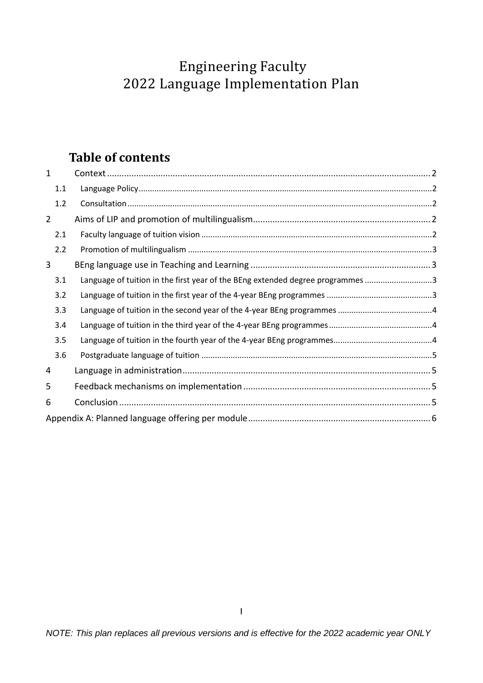# Engineering Faculty 2022 Language Implementation Plan

### **Table of contents**

| $\mathbf{1}$   |                                                                                |  |
|----------------|--------------------------------------------------------------------------------|--|
| 1.1            |                                                                                |  |
| 1.2            |                                                                                |  |
| $\overline{2}$ |                                                                                |  |
| 2.1            |                                                                                |  |
| 2.2            |                                                                                |  |
| 3              |                                                                                |  |
| 3.1            | Language of tuition in the first year of the BEng extended degree programmes 3 |  |
| 3.2            |                                                                                |  |
| 3.3            |                                                                                |  |
| 3.4            |                                                                                |  |
| 3.5            |                                                                                |  |
| 3.6            |                                                                                |  |
| 4              |                                                                                |  |
| 5              |                                                                                |  |
| 6              |                                                                                |  |
|                |                                                                                |  |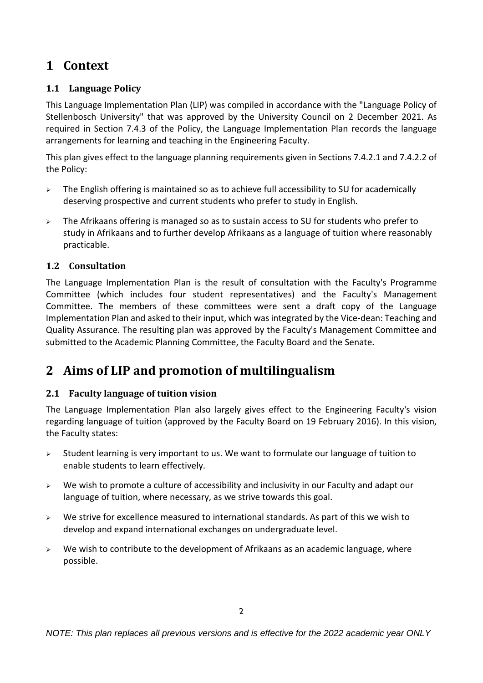### <span id="page-1-0"></span>**1 Context**

#### <span id="page-1-1"></span>**1.1 Language Policy**

This Language Implementation Plan (LIP) was compiled in accordance with the "Language Policy of Stellenbosch University" that was approved by the University Council on 2 December 2021. As required in Section 7.4.3 of the Policy, the Language Implementation Plan records the language arrangements for learning and teaching in the Engineering Faculty.

This plan gives effect to the language planning requirements given in Sections 7.4.2.1 and 7.4.2.2 of the Policy:

- $\triangleright$  The English offering is maintained so as to achieve full accessibility to SU for academically deserving prospective and current students who prefer to study in English.
- > The Afrikaans offering is managed so as to sustain access to SU for students who prefer to study in Afrikaans and to further develop Afrikaans as a language of tuition where reasonably practicable.

#### <span id="page-1-2"></span>**1.2 Consultation**

The Language Implementation Plan is the result of consultation with the Faculty's Programme Committee (which includes four student representatives) and the Faculty's Management Committee. The members of these committees were sent a draft copy of the Language Implementation Plan and asked to their input, which was integrated by the Vice-dean: Teaching and Quality Assurance. The resulting plan was approved by the Faculty's Management Committee and submitted to the Academic Planning Committee, the Faculty Board and the Senate.

### <span id="page-1-3"></span>**2 Aims of LIP and promotion of multilingualism**

#### <span id="page-1-4"></span>**2.1 Faculty language of tuition vision**

The Language Implementation Plan also largely gives effect to the Engineering Faculty's vision regarding language of tuition (approved by the Faculty Board on 19 February 2016). In this vision, the Faculty states:

- $\triangleright$  Student learning is very important to us. We want to formulate our language of tuition to enable students to learn effectively.
- $\triangleright$  We wish to promote a culture of accessibility and inclusivity in our Faculty and adapt our language of tuition, where necessary, as we strive towards this goal.
- $\triangleright$  We strive for excellence measured to international standards. As part of this we wish to develop and expand international exchanges on undergraduate level.
- $\triangleright$  We wish to contribute to the development of Afrikaans as an academic language, where possible.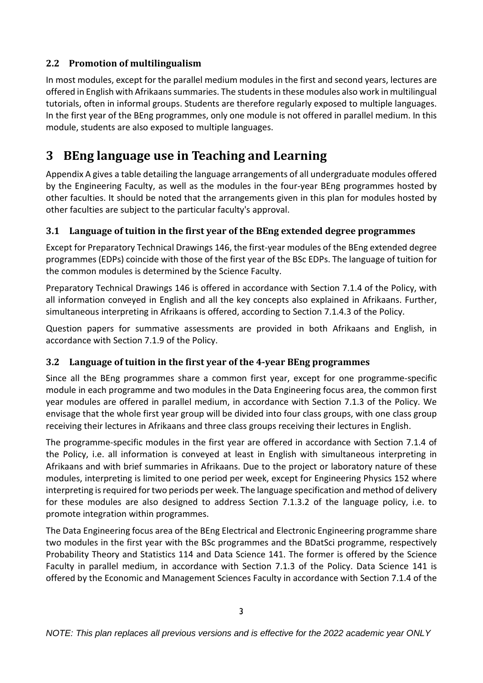#### <span id="page-2-0"></span>**2.2 Promotion of multilingualism**

In most modules, except for the parallel medium modules in the first and second years, lectures are offered in English with Afrikaans summaries. The students in these modules also work in multilingual tutorials, often in informal groups. Students are therefore regularly exposed to multiple languages. In the first year of the BEng programmes, only one module is not offered in parallel medium. In this module, students are also exposed to multiple languages.

### <span id="page-2-1"></span>**3 BEng language use in Teaching and Learning**

Appendix A gives a table detailing the language arrangements of all undergraduate modules offered by the Engineering Faculty, as well as the modules in the four-year BEng programmes hosted by other faculties. It should be noted that the arrangements given in this plan for modules hosted by other faculties are subject to the particular faculty's approval.

#### <span id="page-2-2"></span>**3.1 Language of tuition in the first year of the BEng extended degree programmes**

Except for Preparatory Technical Drawings 146, the first-year modules of the BEng extended degree programmes (EDPs) coincide with those of the first year of the BSc EDPs. The language of tuition for the common modules is determined by the Science Faculty.

Preparatory Technical Drawings 146 is offered in accordance with Section 7.1.4 of the Policy, with all information conveyed in English and all the key concepts also explained in Afrikaans. Further, simultaneous interpreting in Afrikaans is offered, according to Section 7.1.4.3 of the Policy.

Question papers for summative assessments are provided in both Afrikaans and English, in accordance with Section 7.1.9 of the Policy.

#### <span id="page-2-3"></span>**3.2 Language of tuition in the first year of the 4-year BEng programmes**

Since all the BEng programmes share a common first year, except for one programme-specific module in each programme and two modules in the Data Engineering focus area, the common first year modules are offered in parallel medium, in accordance with Section 7.1.3 of the Policy. We envisage that the whole first year group will be divided into four class groups, with one class group receiving their lectures in Afrikaans and three class groups receiving their lectures in English.

The programme-specific modules in the first year are offered in accordance with Section 7.1.4 of the Policy, i.e. all information is conveyed at least in English with simultaneous interpreting in Afrikaans and with brief summaries in Afrikaans. Due to the project or laboratory nature of these modules, interpreting is limited to one period per week, except for Engineering Physics 152 where interpreting is required for two periods per week. The language specification and method of delivery for these modules are also designed to address Section 7.1.3.2 of the language policy, i.e. to promote integration within programmes.

The Data Engineering focus area of the BEng Electrical and Electronic Engineering programme share two modules in the first year with the BSc programmes and the BDatSci programme, respectively Probability Theory and Statistics 114 and Data Science 141. The former is offered by the Science Faculty in parallel medium, in accordance with Section 7.1.3 of the Policy. Data Science 141 is offered by the Economic and Management Sciences Faculty in accordance with Section 7.1.4 of the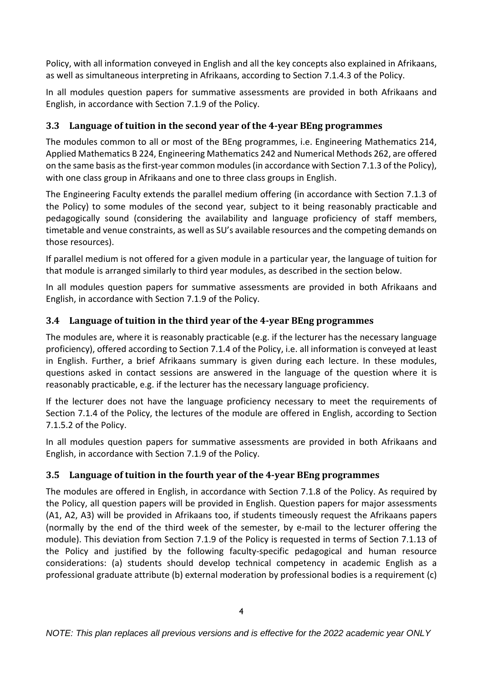Policy, with all information conveyed in English and all the key concepts also explained in Afrikaans, as well as simultaneous interpreting in Afrikaans, according to Section 7.1.4.3 of the Policy.

In all modules question papers for summative assessments are provided in both Afrikaans and English, in accordance with Section 7.1.9 of the Policy.

#### <span id="page-3-0"></span>**3.3 Language of tuition in the second year of the 4-year BEng programmes**

The modules common to all or most of the BEng programmes, i.e. Engineering Mathematics 214, Applied Mathematics B 224, Engineering Mathematics 242 and Numerical Methods 262, are offered on the same basis as the first-year common modules(in accordance with Section 7.1.3 of the Policy), with one class group in Afrikaans and one to three class groups in English.

The Engineering Faculty extends the parallel medium offering (in accordance with Section 7.1.3 of the Policy) to some modules of the second year, subject to it being reasonably practicable and pedagogically sound (considering the availability and language proficiency of staff members, timetable and venue constraints, as well as SU's available resources and the competing demands on those resources).

If parallel medium is not offered for a given module in a particular year, the language of tuition for that module is arranged similarly to third year modules, as described in the section below.

In all modules question papers for summative assessments are provided in both Afrikaans and English, in accordance with Section 7.1.9 of the Policy.

#### <span id="page-3-1"></span>**3.4 Language of tuition in the third year of the 4-year BEng programmes**

The modules are, where it is reasonably practicable (e.g. if the lecturer has the necessary language proficiency), offered according to Section 7.1.4 of the Policy, i.e. all information is conveyed at least in English. Further, a brief Afrikaans summary is given during each lecture. In these modules, questions asked in contact sessions are answered in the language of the question where it is reasonably practicable, e.g. if the lecturer has the necessary language proficiency.

If the lecturer does not have the language proficiency necessary to meet the requirements of Section 7.1.4 of the Policy, the lectures of the module are offered in English, according to Section 7.1.5.2 of the Policy.

In all modules question papers for summative assessments are provided in both Afrikaans and English, in accordance with Section 7.1.9 of the Policy.

#### <span id="page-3-2"></span>**3.5 Language of tuition in the fourth year of the 4-year BEng programmes**

The modules are offered in English, in accordance with Section 7.1.8 of the Policy. As required by the Policy, all question papers will be provided in English. Question papers for major assessments (A1, A2, A3) will be provided in Afrikaans too, if students timeously request the Afrikaans papers (normally by the end of the third week of the semester, by e-mail to the lecturer offering the module). This deviation from Section 7.1.9 of the Policy is requested in terms of Section 7.1.13 of the Policy and justified by the following faculty-specific pedagogical and human resource considerations: (a) students should develop technical competency in academic English as a professional graduate attribute (b) external moderation by professional bodies is a requirement (c)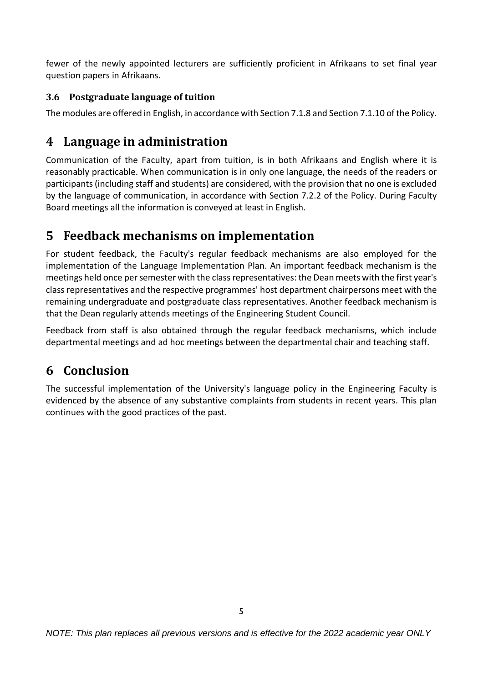fewer of the newly appointed lecturers are sufficiently proficient in Afrikaans to set final year question papers in Afrikaans.

#### <span id="page-4-0"></span>**3.6 Postgraduate language of tuition**

<span id="page-4-1"></span>The modules are offered in English, in accordance with Section 7.1.8 and Section 7.1.10 of the Policy.

### **4 Language in administration**

Communication of the Faculty, apart from tuition, is in both Afrikaans and English where it is reasonably practicable. When communication is in only one language, the needs of the readers or participants (including staff and students) are considered, with the provision that no one is excluded by the language of communication, in accordance with Section 7.2.2 of the Policy. During Faculty Board meetings all the information is conveyed at least in English.

### <span id="page-4-2"></span>**5 Feedback mechanisms on implementation**

For student feedback, the Faculty's regular feedback mechanisms are also employed for the implementation of the Language Implementation Plan. An important feedback mechanism is the meetings held once per semester with the class representatives: the Dean meets with the first year's class representatives and the respective programmes' host department chairpersons meet with the remaining undergraduate and postgraduate class representatives. Another feedback mechanism is that the Dean regularly attends meetings of the Engineering Student Council.

Feedback from staff is also obtained through the regular feedback mechanisms, which include departmental meetings and ad hoc meetings between the departmental chair and teaching staff.

### <span id="page-4-3"></span>**6 Conclusion**

The successful implementation of the University's language policy in the Engineering Faculty is evidenced by the absence of any substantive complaints from students in recent years. This plan continues with the good practices of the past.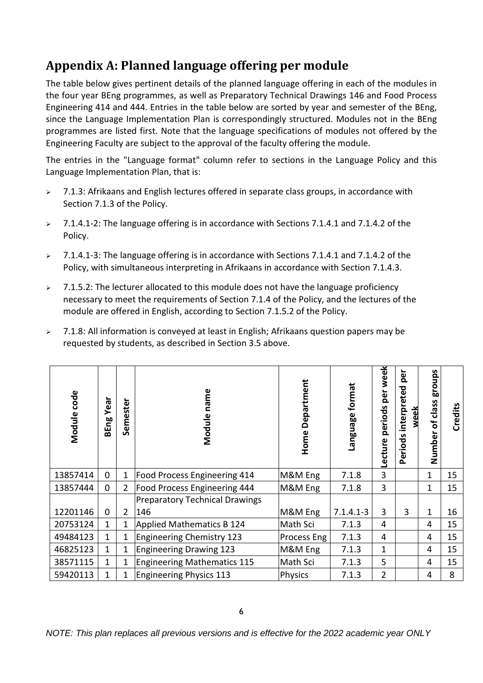## <span id="page-5-0"></span>**Appendix A: Planned language offering per module**

The table below gives pertinent details of the planned language offering in each of the modules in the four year BEng programmes, as well as Preparatory Technical Drawings 146 and Food Process Engineering 414 and 444. Entries in the table below are sorted by year and semester of the BEng, since the Language Implementation Plan is correspondingly structured. Modules not in the BEng programmes are listed first. Note that the language specifications of modules not offered by the Engineering Faculty are subject to the approval of the faculty offering the module.

The entries in the "Language format" column refer to sections in the Language Policy and this Language Implementation Plan, that is:

- $>$  7.1.3: Afrikaans and English lectures offered in separate class groups, in accordance with Section 7.1.3 of the Policy.
- > 7.1.4.1-2: The language offering is in accordance with Sections 7.1.4.1 and 7.1.4.2 of the Policy.
- 7.1.4.1-3: The language offering is in accordance with Sections 7.1.4.1 and 7.1.4.2 of the Policy, with simultaneous interpreting in Afrikaans in accordance with Section 7.1.4.3.
- $\geq$  7.1.5.2: The lecturer allocated to this module does not have the language proficiency necessary to meet the requirements of Section 7.1.4 of the Policy, and the lectures of the module are offered in English, according to Section 7.1.5.2 of the Policy.
- $>$  7.1.8: All information is conveyed at least in English; Afrikaans question papers may be requested by students, as described in Section 3.5 above.

| Module code | Year<br>BEng | Semester       | Module name                           | Home Department | Language format | per week<br>periods<br>Lecture | per<br>Periods interpreted<br>week | schoug<br>class<br>$\mathbf{b}$<br>Number | Credits |
|-------------|--------------|----------------|---------------------------------------|-----------------|-----------------|--------------------------------|------------------------------------|-------------------------------------------|---------|
| 13857414    | $\mathbf 0$  | $\mathbf{1}$   | Food Process Engineering 414          | M&M Eng         | 7.1.8           | 3                              |                                    | 1                                         | 15      |
| 13857444    | $\mathbf 0$  | $\overline{2}$ | <b>Food Process Engineering 444</b>   | M&M Eng         | 7.1.8           | 3                              |                                    | $\mathbf{1}$                              | 15      |
|             |              |                | <b>Preparatory Technical Drawings</b> |                 |                 |                                |                                    |                                           |         |
| 12201146    | $\mathbf 0$  | $\overline{2}$ | 146                                   | M&M Eng         | $7.1.4.1 - 3$   | 3                              | 3                                  | 1                                         | 16      |
| 20753124    | 1            | 1              | Applied Mathematics B 124             | Math Sci        | 7.1.3           | 4                              |                                    | 4                                         | 15      |
| 49484123    | $\mathbf{1}$ | 1              | Engineering Chemistry 123             | Process Eng     | 7.1.3           | 4                              |                                    | 4                                         | 15      |
| 46825123    | 1            | 1              | <b>Engineering Drawing 123</b>        | M&M Eng         | 7.1.3           | $\mathbf{1}$                   |                                    | 4                                         | 15      |
| 38571115    | 1            | 1              | <b>Engineering Mathematics 115</b>    | Math Sci        | 7.1.3           | 5                              |                                    | 4                                         | 15      |
| 59420113    | 1            | 1              | <b>Engineering Physics 113</b>        | <b>Physics</b>  | 7.1.3           | $\overline{2}$                 |                                    | 4                                         | 8       |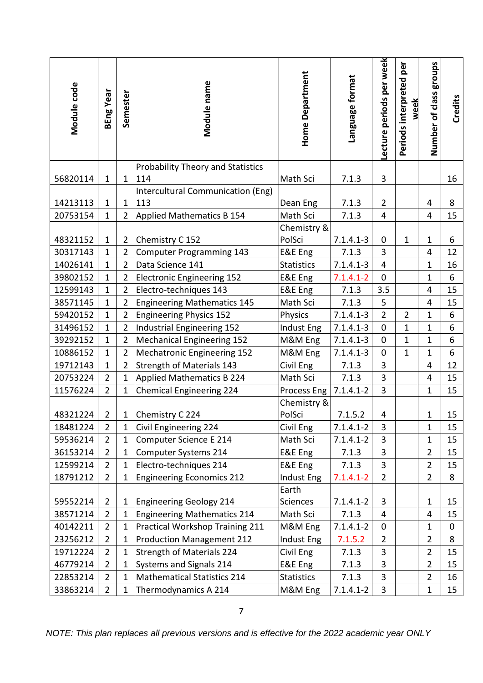| Module code | BEng Year      | Semester       | Module name                                                                                          | <b>Home Department</b> | Language format | Lecture periods per week | Periods interpreted per<br>week | Number of class groups | <b>Credits</b> |
|-------------|----------------|----------------|------------------------------------------------------------------------------------------------------|------------------------|-----------------|--------------------------|---------------------------------|------------------------|----------------|
|             |                |                | <b>Probability Theory and Statistics</b>                                                             |                        |                 |                          |                                 |                        |                |
| 56820114    | $\mathbf{1}$   | $\mathbf{1}$   | 114                                                                                                  | Math Sci               | 7.1.3           | $\overline{\mathbf{3}}$  |                                 |                        | 16             |
| 14213113    | $\mathbf{1}$   | $\mathbf{1}$   | <b>Intercultural Communication (Eng)</b><br>113                                                      | Dean Eng               | 7.1.3           | $\overline{2}$           |                                 | 4                      | 8              |
| 20753154    | $\mathbf{1}$   | $\overline{2}$ | Applied Mathematics B 154                                                                            | Math Sci               | 7.1.3           | 4                        |                                 | 4                      | 15             |
|             |                |                |                                                                                                      | Chemistry &            |                 |                          |                                 |                        |                |
| 48321152    | $\mathbf{1}$   | $\overline{2}$ | Chemistry C 152                                                                                      | PolSci                 | $7.1.4.1 - 3$   | 0                        | 1                               | $\mathbf{1}$           | 6              |
| 30317143    | $\mathbf{1}$   | $\overline{2}$ | Computer Programming 143                                                                             | E&E Eng                | 7.1.3           | 3                        |                                 | 4                      | 12             |
| 14026141    | $\mathbf{1}$   | $\overline{2}$ | Data Science 141                                                                                     | <b>Statistics</b>      | $7.1.4.1 - 3$   | $\overline{4}$           |                                 | $\mathbf{1}$           | 16             |
| 39802152    | $\mathbf{1}$   | $\overline{2}$ | <b>Electronic Engineering 152</b>                                                                    | E&E Eng                | $7.1.4.1 - 2$   | 0                        |                                 | $\mathbf{1}$           | 6              |
| 12599143    | $\mathbf{1}$   | $\overline{2}$ | Electro-techniques 143                                                                               | E&E Eng                | 7.1.3           | 3.5                      |                                 | 4                      | 15             |
| 38571145    | $\mathbf{1}$   | $\overline{2}$ | <b>Engineering Mathematics 145</b>                                                                   | Math Sci               | 7.1.3           | 5                        |                                 | 4                      | 15             |
| 59420152    | $\mathbf{1}$   | $\overline{2}$ | <b>Engineering Physics 152</b>                                                                       | Physics                | $7.1.4.1 - 3$   | $\overline{2}$           | $\overline{2}$                  | $\mathbf{1}$           | 6              |
| 31496152    | $\mathbf{1}$   | $\overline{2}$ | Industrial Engineering 152                                                                           | Indust Eng             | $7.1.4.1 - 3$   | $\mathbf 0$              | $\mathbf{1}$                    | $\mathbf{1}$           | 6              |
| 39292152    | $\mathbf{1}$   | $\overline{2}$ | <b>Mechanical Engineering 152</b>                                                                    | M&M Eng                | $7.1.4.1 - 3$   | 0                        | 1                               | $\mathbf{1}$           | 6              |
| 10886152    | $\mathbf{1}$   | $\overline{2}$ | <b>Mechatronic Engineering 152</b>                                                                   | M&M Eng                | $7.1.4.1 - 3$   | $\mathbf 0$              | $\mathbf{1}$                    | $\mathbf{1}$           | 6              |
| 19712143    | $\mathbf{1}$   | $\overline{2}$ | <b>Strength of Materials 143</b>                                                                     | Civil Eng              | 7.1.3           | 3                        |                                 | 4                      | 12             |
| 20753224    | $\overline{2}$ | $\mathbf{1}$   | <b>Applied Mathematics B 224</b>                                                                     | Math Sci               | 7.1.3           | $\overline{3}$           |                                 | 4                      | 15             |
| 11576224    | $\overline{2}$ | $\mathbf{1}$   | <b>Chemical Engineering 224</b>                                                                      | Process Eng            | $7.1.4.1 - 2$   | 3                        |                                 | $\mathbf{1}$           | 15             |
| 48321224    | $\overline{2}$ | $\mathbf{1}$   | Chemistry C 224                                                                                      | Chemistry &<br>PolSci  | 7.1.5.2         | 4                        |                                 | $\mathbf{1}$           | 15             |
| 18481224    | $\overline{2}$ | $\mathbf{1}$   | Civil Engineering 224                                                                                | Civil Eng              | $7.1.4.1 - 2$   | 3                        |                                 | $\mathbf{1}$           | 15             |
| 59536214    | $\overline{2}$ | $\mathbf{1}$   | Computer Science E 214                                                                               | Math Sci               | $7.1.4.1 - 2$   | 3                        |                                 | $\mathbf{1}$           | 15             |
| 36153214    | $\overline{2}$ | $\mathbf{1}$   | Computer Systems 214                                                                                 | E&E Eng                | 7.1.3           | 3                        |                                 | $\overline{2}$         | 15             |
| 12599214    | $\overline{2}$ | $\mathbf{1}$   | Electro-techniques 214                                                                               | E&E Eng                | 7.1.3           | 3                        |                                 | $\overline{2}$         | 15             |
| 18791212    | $\overline{2}$ | $\mathbf{1}$   | <b>Engineering Economics 212</b>                                                                     | Indust Eng             | $7.1.4.1 - 2$   | $\overline{2}$           |                                 | $\overline{2}$         | 8              |
|             |                |                |                                                                                                      | Earth                  |                 |                          |                                 |                        |                |
| 59552214    | $\overline{2}$ | $\mathbf{1}$   | Engineering Geology 214                                                                              | <b>Sciences</b>        | $7.1.4.1 - 2$   | 3                        |                                 | $\mathbf 1$            | 15             |
| 38571214    | $\overline{2}$ | $\mathbf{1}$   | <b>Engineering Mathematics 214</b>                                                                   | Math Sci               | 7.1.3           | 4                        |                                 | 4                      | 15             |
| 40142211    | $\overline{2}$ | $\mathbf{1}$   | Practical Workshop Training 211                                                                      | M&M Eng                | $7.1.4.1 - 2$   | 0                        |                                 | $\mathbf{1}$           | 0              |
| 23256212    | $\overline{2}$ | $\mathbf{1}$   | <b>Production Management 212</b>                                                                     | Indust Eng             | 7.1.5.2         | $\overline{2}$           |                                 | $\overline{2}$         | 8              |
| 19712224    | $\overline{2}$ | $\mathbf{1}$   | <b>Strength of Materials 224</b>                                                                     | Civil Eng              | 7.1.3           | 3                        |                                 | $\overline{2}$         | 15             |
| 46779214    | $\overline{2}$ | $\mathbf{1}$   | Systems and Signals 214                                                                              | E&E Eng                | 7.1.3           | $\mathbf{3}$             |                                 | $\overline{2}$         | 15             |
| 22853214    | $\overline{2}$ | $\mathbf{1}$   | <b>Mathematical Statistics 214</b>                                                                   | <b>Statistics</b>      | 7.1.3           | 3                        |                                 | $\overline{2}$         | 16             |
| 33863214    | $\overline{2}$ | $\mathbf{1}$   | Thermodynamics A 214                                                                                 | M&M Eng                | $7.1.4.1 - 2$   | 3                        |                                 | $\mathbf{1}$           | 15             |
|             |                |                | 7<br>NOTE: This plan replaces all previous versions and is effective for the 2022 academic year ONLY |                        |                 |                          |                                 |                        |                |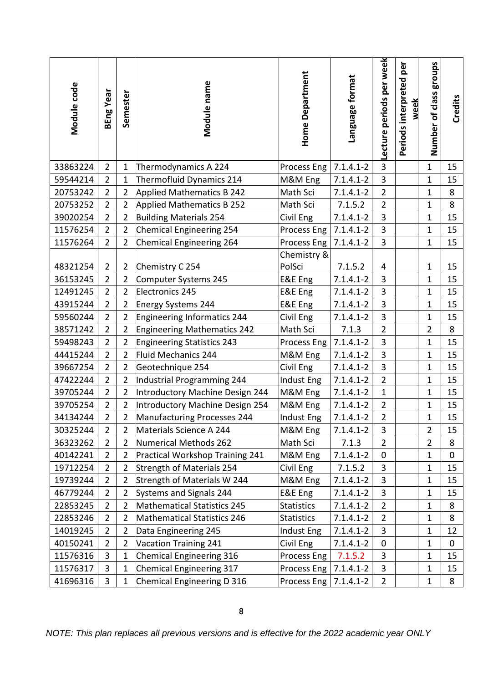| Module code | BEng Year                                                                                                           | Semester       | Module name                        | <b>Home Department</b>  | Language format | Lecture periods per week | Periods interpreted per<br>week | Number of class groups | <b>Credits</b> |  |  |
|-------------|---------------------------------------------------------------------------------------------------------------------|----------------|------------------------------------|-------------------------|-----------------|--------------------------|---------------------------------|------------------------|----------------|--|--|
| 33863224    | $\overline{2}$                                                                                                      | $\mathbf{1}$   | Thermodynamics A 224               | Process Eng             | $7.1.4.1 - 2$   | $\overline{3}$           |                                 | $\mathbf{1}$           | 15             |  |  |
| 59544214    | $\overline{2}$                                                                                                      | $\mathbf{1}$   | Thermofluid Dynamics 214           | M&M Eng                 | $7.1.4.1 - 2$   | $\overline{3}$           |                                 | $\mathbf{1}$           | 15             |  |  |
| 20753242    | $\overline{2}$                                                                                                      | $\overline{2}$ | <b>Applied Mathematics B 242</b>   | Math Sci                | $7.1.4.1 - 2$   | $\overline{2}$           |                                 | $\mathbf 1$            | 8              |  |  |
| 20753252    | $\overline{2}$                                                                                                      | $\overline{2}$ | Applied Mathematics B 252          | Math Sci                | 7.1.5.2         | $\overline{2}$           |                                 | $\mathbf{1}$           | 8              |  |  |
| 39020254    | $\overline{2}$                                                                                                      | $\overline{2}$ | <b>Building Materials 254</b>      | Civil Eng               | $7.1.4.1 - 2$   | $\overline{3}$           |                                 | $\mathbf{1}$           | 15             |  |  |
| 11576254    | $\overline{2}$                                                                                                      | $\overline{2}$ | Chemical Engineering 254           | Process Eng             | $7.1.4.1 - 2$   | $\overline{3}$           |                                 | $\mathbf{1}$           | 15             |  |  |
| 11576264    | $\overline{2}$                                                                                                      | $\overline{2}$ | Chemical Engineering 264           | Process Eng             | $7.1.4.1 - 2$   | $\overline{3}$           |                                 | $\mathbf{1}$           | 15             |  |  |
| 48321254    | $\overline{2}$                                                                                                      | $\overline{2}$ | Chemistry C 254                    | Chemistry &<br>PolSci   | 7.1.5.2         | 4                        |                                 | $\mathbf 1$            | 15             |  |  |
| 36153245    | $\overline{2}$                                                                                                      | $\overline{2}$ | Computer Systems 245               | E&E Eng                 | $7.1.4.1 - 2$   | $\overline{3}$           |                                 | $\mathbf 1$            | 15             |  |  |
| 12491245    | $\overline{2}$                                                                                                      | $\overline{2}$ | Electronics 245                    | E&E Eng                 | $7.1.4.1 - 2$   | $\overline{3}$           |                                 | 1                      | 15             |  |  |
| 43915244    | $\overline{2}$                                                                                                      | $\overline{2}$ | Energy Systems 244                 | E&E Eng                 | $7.1.4.1 - 2$   | 3                        |                                 | $\mathbf{1}$           | 15             |  |  |
| 59560244    | $\overline{2}$                                                                                                      | $\overline{2}$ | Engineering Informatics 244        | Civil Eng               | $7.1.4.1 - 2$   | $\overline{3}$           |                                 | $\mathbf{1}$           | 15             |  |  |
| 38571242    | $\overline{2}$                                                                                                      | $\overline{2}$ | <b>Engineering Mathematics 242</b> | Math Sci                | 7.1.3           | $\overline{2}$           |                                 | $\overline{2}$         | 8              |  |  |
| 59498243    | $\overline{2}$                                                                                                      | $\overline{2}$ | <b>Engineering Statistics 243</b>  | Process Eng   7.1.4.1-2 |                 | $\overline{3}$           |                                 | $\mathbf{1}$           | 15             |  |  |
| 44415244    | $\overline{2}$                                                                                                      | $\overline{2}$ | Fluid Mechanics 244                | M&M Eng                 | $7.1.4.1 - 2$   | $\overline{3}$           |                                 | $\mathbf{1}$           | 15             |  |  |
| 39667254    | $\overline{2}$                                                                                                      | $\overline{2}$ | Geotechnique 254                   | Civil Eng               | $7.1.4.1 - 2$   | $\overline{3}$           |                                 | 1                      | 15             |  |  |
| 47422244    | $\overline{2}$                                                                                                      | $\overline{2}$ | Industrial Programming 244         | Indust Eng              | $7.1.4.1 - 2$   | $\overline{2}$           |                                 | $\mathbf{1}$           | 15             |  |  |
| 39705244    | $\overline{2}$                                                                                                      | $\overline{2}$ | Introductory Machine Design 244    | M&M Eng                 | $7.1.4.1 - 2$   | $\mathbf{1}$             |                                 | $\mathbf 1$            | 15             |  |  |
| 39705254    | $\overline{2}$                                                                                                      | $\overline{2}$ | Introductory Machine Design 254    | M&M Eng                 | $7.1.4.1 - 2$   | $\overline{2}$           |                                 | 1                      | 15             |  |  |
| 34134244    | $\overline{2}$                                                                                                      | $\overline{2}$ | Manufacturing Processes 244        | Indust Eng              | $7.1.4.1 - 2$   | $\overline{2}$           |                                 | 1                      | 15             |  |  |
| 30325244    | $\overline{2}$                                                                                                      | $\overline{2}$ | Materials Science A 244            | M&M Eng                 | $7.1.4.1 - 2$   | 3                        |                                 | $\overline{2}$         | 15             |  |  |
| 36323262    | $\overline{2}$                                                                                                      | $\overline{2}$ | Numerical Methods 262              | Math Sci                | 7.1.3           | $\overline{2}$           |                                 | $\overline{2}$         | 8              |  |  |
| 40142241    | $\overline{2}$                                                                                                      | $\overline{2}$ | Practical Workshop Training 241    | M&M Eng                 | $7.1.4.1 - 2$   | $\mathbf 0$              |                                 | $\mathbf 1$            | $\mathbf 0$    |  |  |
| 19712254    | $\overline{2}$                                                                                                      | $\overline{2}$ | Strength of Materials 254          | Civil Eng               | 7.1.5.2         | $\overline{3}$           |                                 | 1                      | 15             |  |  |
| 19739244    | $\overline{2}$                                                                                                      | $\overline{2}$ | Strength of Materials W 244        | M&M Eng                 | $7.1.4.1 - 2$   | $\mathbf{3}$             |                                 | 1                      | 15             |  |  |
| 46779244    | $\overline{2}$                                                                                                      | $\overline{2}$ | Systems and Signals 244            | E&E Eng                 | $7.1.4.1 - 2$   | $\overline{3}$           |                                 | $\mathbf{1}$           | 15             |  |  |
| 22853245    | $\overline{2}$                                                                                                      | $\overline{2}$ | Mathematical Statistics 245        | <b>Statistics</b>       | $7.1.4.1 - 2$   | $\overline{2}$           |                                 | 1                      | 8              |  |  |
| 22853246    | $\overline{2}$                                                                                                      | $\overline{2}$ | <b>Mathematical Statistics 246</b> | <b>Statistics</b>       | $7.1.4.1 - 2$   | $\overline{2}$           |                                 | 1                      | 8              |  |  |
| 14019245    | $\overline{2}$                                                                                                      | $\overline{2}$ | Data Engineering 245               | Indust Eng              | $7.1.4.1 - 2$   | $\overline{3}$           |                                 | 1                      | 12             |  |  |
| 40150241    | $\overline{2}$                                                                                                      | $\overline{2}$ | <b>Vacation Training 241</b>       | Civil Eng               | $7.1.4.1 - 2$   | $\mathbf 0$              |                                 | $\mathbf 1$            | 0              |  |  |
| 11576316    | 3                                                                                                                   | $\mathbf{1}$   | Chemical Engineering 316           | Process Eng             | 7.1.5.2         | 3                        |                                 | 1                      | 15             |  |  |
| 11576317    | 3                                                                                                                   | $\mathbf{1}$   | Chemical Engineering 317           | Process Eng             | $7.1.4.1 - 2$   | 3                        |                                 | 1                      | 15             |  |  |
| 41696316    | 3                                                                                                                   | $\mathbf{1}$   | Chemical Engineering D 316         |                         | $7.1.4.1 - 2$   | $\overline{2}$           |                                 | 1                      | 8              |  |  |
|             | Process Eng<br>8<br>NOTE: This plan replaces all previous versions and is effective for the 2022 academic year ONLY |                |                                    |                         |                 |                          |                                 |                        |                |  |  |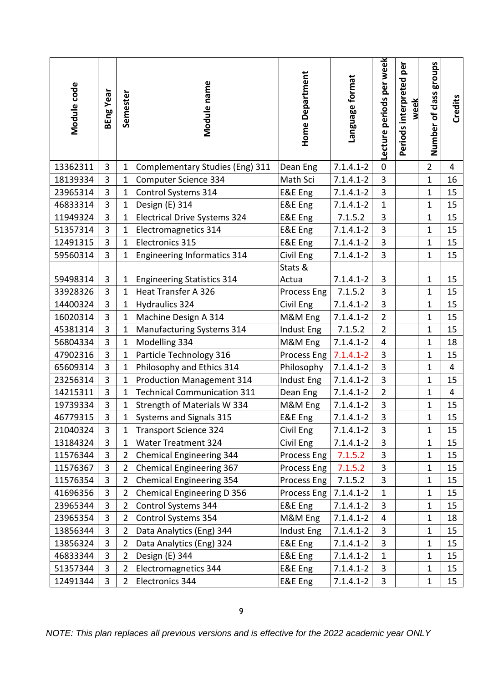| Module code | BEng Year                                                                                            | Semester       | Module name                        | Home Department    | Language format | Lecture periods per week | Periods interpreted per<br>week | Number of class groups | Credits        |  |  |
|-------------|------------------------------------------------------------------------------------------------------|----------------|------------------------------------|--------------------|-----------------|--------------------------|---------------------------------|------------------------|----------------|--|--|
| 13362311    | $\overline{3}$                                                                                       | $\mathbf{1}$   | Complementary Studies (Eng) 311    | Dean Eng           | $7.1.4.1 - 2$   | $\overline{0}$           |                                 | $\overline{2}$         | $\overline{4}$ |  |  |
| 18139334    | 3                                                                                                    | $\mathbf{1}$   | Computer Science 334               | Math Sci           | $7.1.4.1 - 2$   | 3                        |                                 | $\mathbf{1}$           | 16             |  |  |
| 23965314    | 3                                                                                                    | $\mathbf{1}$   | Control Systems 314                | <b>E&amp;E</b> Eng | $7.1.4.1 - 2$   | 3                        |                                 | $\mathbf 1$            | 15             |  |  |
| 46833314    | 3                                                                                                    | $\mathbf{1}$   | Design (E) 314                     | E&E Eng            | $7.1.4.1 - 2$   | $\mathbf{1}$             |                                 | $\mathbf{1}$           | 15             |  |  |
| 11949324    | 3                                                                                                    | $\mathbf{1}$   | Electrical Drive Systems 324       | E&E Eng            | 7.1.5.2         | 3                        |                                 | $\mathbf{1}$           | 15             |  |  |
| 51357314    | 3                                                                                                    | $\mathbf{1}$   | Electromagnetics 314               | E&E Eng            | $7.1.4.1 - 2$   | $\overline{3}$           |                                 | $\mathbf{1}$           | 15             |  |  |
| 12491315    | 3                                                                                                    | $\mathbf{1}$   | Electronics 315                    | E&E Eng            | $7.1.4.1 - 2$   | 3                        |                                 | $\mathbf{1}$           | 15             |  |  |
| 59560314    | 3                                                                                                    | $\mathbf{1}$   | Engineering Informatics 314        | Civil Eng          | $7.1.4.1 - 2$   | 3                        |                                 | $\mathbf{1}$           | 15             |  |  |
|             |                                                                                                      |                |                                    | Stats &            |                 |                          |                                 |                        |                |  |  |
| 59498314    | 3                                                                                                    | $\mathbf{1}$   | Engineering Statistics 314         | Actua              | $7.1.4.1 - 2$   | $\mathbf{3}$             |                                 | $\mathbf{1}$           | 15             |  |  |
| 33928326    | 3                                                                                                    | $\mathbf{1}$   | Heat Transfer A 326                | Process Eng        | 7.1.5.2         | 3                        |                                 | 1                      | 15             |  |  |
| 14400324    | 3                                                                                                    | $\mathbf{1}$   | Hydraulics 324                     | Civil Eng          | $7.1.4.1 - 2$   | 3                        |                                 | $\mathbf{1}$           | 15             |  |  |
| 16020314    | 3                                                                                                    | $\mathbf{1}$   | Machine Design A 314               | M&M Eng            | $7.1.4.1 - 2$   | $\overline{2}$           |                                 | $\mathbf{1}$           | 15             |  |  |
| 45381314    | 3                                                                                                    | $\mathbf{1}$   | Manufacturing Systems 314          | Indust Eng         | 7.1.5.2         | $\overline{2}$           |                                 | $\mathbf{1}$           | 15             |  |  |
| 56804334    | $\overline{3}$                                                                                       | $\mathbf{1}$   | Modelling 334                      | M&M Eng            | $7.1.4.1 - 2$   | $\overline{4}$           |                                 | $\mathbf{1}$           | 18             |  |  |
| 47902316    | 3                                                                                                    | $\mathbf{1}$   | Particle Technology 316            | Process Eng        | $7.1.4.1 - 2$   | 3                        |                                 | $\mathbf{1}$           | 15             |  |  |
| 65609314    | 3                                                                                                    | $\mathbf{1}$   | Philosophy and Ethics 314          | Philosophy         | $7.1.4.1 - 2$   | 3                        |                                 | $\mathbf{1}$           | 4              |  |  |
| 23256314    | 3                                                                                                    | $\mathbf{1}$   | <b>Production Management 314</b>   | Indust Eng         | $7.1.4.1 - 2$   | $\overline{3}$           |                                 | $\mathbf{1}$           | 15             |  |  |
| 14215311    | 3                                                                                                    | $\mathbf{1}$   | <b>Technical Communication 311</b> | Dean Eng           | $7.1.4.1 - 2$   | $\overline{2}$           |                                 | $\mathbf{1}$           | $\overline{4}$ |  |  |
| 19739334    | 3                                                                                                    | $\mathbf{1}$   | Strength of Materials W 334        | M&M Eng            | $7.1.4.1 - 2$   | 3                        |                                 | $\mathbf 1$            | 15             |  |  |
| 46779315    | 3                                                                                                    | 1              | Systems and Signals 315            | E&E Eng            | $7.1.4.1 - 2$   | 3                        |                                 | $\overline{1}$         | 15             |  |  |
| 21040324    | 3                                                                                                    | 1              | Transport Science 324              | Civil Eng          | $7.1.4.1 - 2$   | 3                        |                                 | 1                      | 15             |  |  |
| 13184324    | 3                                                                                                    | 1              | <b>Water Treatment 324</b>         | Civil Eng          | $7.1.4.1 - 2$   | 3                        |                                 | 1                      | 15             |  |  |
| 11576344    | 3                                                                                                    | $\overline{2}$ | Chemical Engineering 344           | Process Eng        | 7.1.5.2         | 3                        |                                 | $\mathbf{1}$           | 15             |  |  |
| 11576367    | 3                                                                                                    | $\overline{2}$ | Chemical Engineering 367           | Process Eng        | 7.1.5.2         | 3                        |                                 | 1                      | 15             |  |  |
| 11576354    | 3                                                                                                    | $\overline{2}$ | Chemical Engineering 354           | Process Eng        | 7.1.5.2         | 3                        |                                 | 1                      | 15             |  |  |
| 41696356    | 3                                                                                                    | $\overline{2}$ | Chemical Engineering D 356         | Process Eng        | $7.1.4.1 - 2$   | $\mathbf{1}$             |                                 | $\mathbf{1}$           | 15             |  |  |
| 23965344    | 3                                                                                                    | $\overline{2}$ | Control Systems 344                | E&E Eng            | $7.1.4.1 - 2$   | 3                        |                                 | $\mathbf{1}$           | 15             |  |  |
| 23965354    | 3                                                                                                    | $\overline{2}$ | Control Systems 354                | M&M Eng            | $7.1.4.1 - 2$   | 4                        |                                 | 1                      | 18             |  |  |
| 13856344    | 3                                                                                                    | $\overline{2}$ | Data Analytics (Eng) 344           | Indust Eng         | $7.1.4.1 - 2$   | 3                        |                                 | 1                      | 15             |  |  |
| 13856324    | 3                                                                                                    | $\overline{2}$ | Data Analytics (Eng) 324           | E&E Eng            | $7.1.4.1 - 2$   | 3                        |                                 | $\mathbf{1}$           | 15             |  |  |
| 46833344    | 3                                                                                                    | $\overline{2}$ | Design (E) 344                     | E&E Eng            | $7.1.4.1 - 2$   | $\mathbf{1}$             |                                 | 1                      | 15             |  |  |
| 51357344    | 3                                                                                                    | $\overline{2}$ | Electromagnetics 344               | E&E Eng            | $7.1.4.1 - 2$   | 3                        |                                 | $\mathbf{1}$           | 15             |  |  |
| 12491344    | 3                                                                                                    | $\overline{2}$ | Electronics 344                    | E&E Eng            | $7.1.4.1 - 2$   | 3                        |                                 | 1                      | 15             |  |  |
|             | 9<br>NOTE: This plan replaces all previous versions and is effective for the 2022 academic year ONLY |                |                                    |                    |                 |                          |                                 |                        |                |  |  |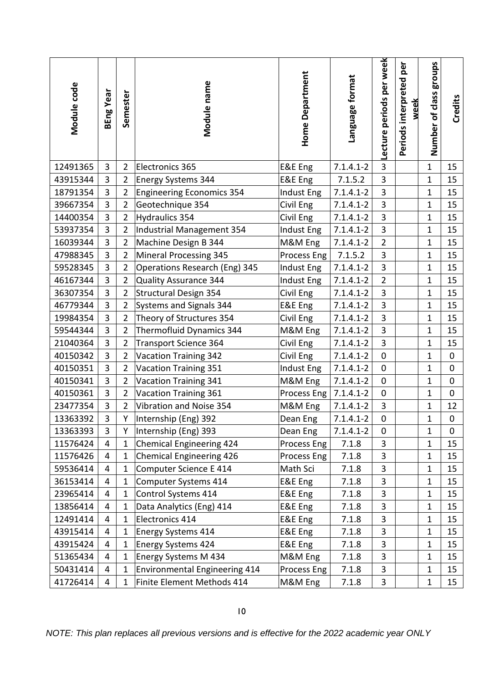| Module code | BEng Year                                                                                             | Semester       | Module name                          | <b>Home Department</b> | Language format | Lecture periods per week | Periods interpreted per<br>week | Number of class groups | Credits     |  |  |
|-------------|-------------------------------------------------------------------------------------------------------|----------------|--------------------------------------|------------------------|-----------------|--------------------------|---------------------------------|------------------------|-------------|--|--|
| 12491365    | 3                                                                                                     | $\overline{2}$ | Electronics 365                      | E&E Eng                | $7.1.4.1 - 2$   | $\overline{3}$           |                                 | $\mathbf{1}$           | 15          |  |  |
| 43915344    | 3                                                                                                     | $\overline{2}$ | <b>Energy Systems 344</b>            | E&E Eng                | 7.1.5.2         | 3                        |                                 | $\mathbf{1}$           | 15          |  |  |
| 18791354    | 3                                                                                                     | $\overline{2}$ | <b>Engineering Economics 354</b>     | Indust Eng             | $7.1.4.1 - 2$   | $\overline{\mathbf{3}}$  |                                 | $\mathbf 1$            | 15          |  |  |
| 39667354    | 3                                                                                                     | $\overline{2}$ | Geotechnique 354                     | Civil Eng              | $7.1.4.1 - 2$   | $\overline{3}$           |                                 | $\mathbf{1}$           | 15          |  |  |
| 14400354    | 3                                                                                                     | $\overline{2}$ | <b>Hydraulics 354</b>                | Civil Eng              | $7.1.4.1 - 2$   | $\overline{\mathbf{3}}$  |                                 | $\mathbf{1}$           | 15          |  |  |
| 53937354    | 3                                                                                                     | $\overline{2}$ | Industrial Management 354            | Indust Eng             | $7.1.4.1 - 2$   | $\overline{3}$           |                                 | $\mathbf{1}$           | 15          |  |  |
| 16039344    | 3                                                                                                     | $\overline{2}$ | Machine Design B 344                 | M&M Eng                | $7.1.4.1 - 2$   | $\overline{2}$           |                                 | $\mathbf 1$            | 15          |  |  |
| 47988345    | 3                                                                                                     | $\overline{2}$ | <b>Mineral Processing 345</b>        | Process Eng            | 7.1.5.2         | 3                        |                                 | $\mathbf{1}$           | 15          |  |  |
| 59528345    | 3                                                                                                     | $\overline{2}$ | Operations Research (Eng) 345        | Indust Eng             | $7.1.4.1 - 2$   | $\overline{3}$           |                                 | $\mathbf{1}$           | 15          |  |  |
| 46167344    | 3                                                                                                     | $\overline{2}$ | Quality Assurance 344                | Indust Eng             | $7.1.4.1 - 2$   | $\overline{2}$           |                                 | $\mathbf{1}$           | 15          |  |  |
| 36307354    | $\overline{3}$                                                                                        | $\overline{2}$ | <b>Structural Design 354</b>         | Civil Eng              | $7.1.4.1 - 2$   | $\overline{3}$           |                                 | $\mathbf{1}$           | 15          |  |  |
| 46779344    | 3                                                                                                     | $\overline{2}$ | Systems and Signals 344              | E&E Eng                | $7.1.4.1 - 2$   | 3                        |                                 | $\mathbf{1}$           | 15          |  |  |
| 19984354    | 3                                                                                                     | $\overline{2}$ | Theory of Structures 354             | Civil Eng              | $7.1.4.1 - 2$   | $\overline{3}$           |                                 | $\mathbf{1}$           | 15          |  |  |
| 59544344    | 3                                                                                                     | $\overline{2}$ | Thermofluid Dynamics 344             | M&M Eng                | $7.1.4.1 - 2$   | 3                        |                                 | $\mathbf{1}$           | 15          |  |  |
| 21040364    | 3                                                                                                     | $\overline{2}$ | <b>Transport Science 364</b>         | Civil Eng              | $7.1.4.1 - 2$   | $\overline{\mathbf{3}}$  |                                 | $\mathbf{1}$           | 15          |  |  |
| 40150342    | 3                                                                                                     | $\overline{2}$ | <b>Vacation Training 342</b>         | Civil Eng              | $7.1.4.1 - 2$   | $\pmb{0}$                |                                 | $\mathbf{1}$           | 0           |  |  |
| 40150351    | $\overline{3}$                                                                                        | $\overline{2}$ | Vacation Training 351                | Indust Eng             | $7.1.4.1 - 2$   | $\pmb{0}$                |                                 | $\mathbf{1}$           | $\mathbf 0$ |  |  |
| 40150341    | $\overline{3}$                                                                                        | $\overline{2}$ | <b>Vacation Training 341</b>         | M&M Eng                | $7.1.4.1 - 2$   | $\mathbf 0$              |                                 | $\mathbf{1}$           | $\mathbf 0$ |  |  |
| 40150361    | 3                                                                                                     | $\overline{2}$ | <b>Vacation Training 361</b>         | Process Eng            | $7.1.4.1 - 2$   | $\pmb{0}$                |                                 | $\mathbf{1}$           | $\mathbf 0$ |  |  |
| 23477354    | 3                                                                                                     | $\overline{2}$ | Vibration and Noise 354              | M&M Eng                | $7.1.4.1 - 2$   | $\overline{3}$           |                                 | $\mathbf{1}$           | 12          |  |  |
| 13363392    | 3                                                                                                     | Y              | Internship (Eng) 392                 | Dean Eng               | $7.1.4.1 - 2$   | $\pmb{0}$                |                                 | $\mathbf 1$            | 0           |  |  |
| 13363393    | 3                                                                                                     | Y              | Internship (Eng) 393                 | Dean Eng               | $7.1.4.1 - 2$   | $\mathbf 0$              |                                 | $\mathbf{1}$           | $\mathbf 0$ |  |  |
| 11576424    | 4                                                                                                     | $\mathbf{1}$   | Chemical Engineering 424             | Process Eng            | 7.1.8           | $\mathbf{3}$             |                                 | $\mathbf{1}$           | 15          |  |  |
| 11576426    | 4                                                                                                     | $\mathbf{1}$   | Chemical Engineering 426             | Process Eng            | 7.1.8           | $\mathbf{3}$             |                                 | $\mathbf 1$            | 15          |  |  |
| 59536414    | 4                                                                                                     | $\mathbf{1}$   | Computer Science E 414               | Math Sci               | 7.1.8           | 3                        |                                 | $\mathbf 1$            | 15          |  |  |
| 36153414    | 4                                                                                                     | $\mathbf{1}$   | Computer Systems 414                 | E&E Eng                | 7.1.8           | 3                        |                                 | $\mathbf 1$            | 15          |  |  |
| 23965414    | $\overline{4}$                                                                                        | $\mathbf{1}$   | Control Systems 414                  | E&E Eng                | 7.1.8           | 3                        |                                 | $\mathbf 1$            | 15          |  |  |
| 13856414    | 4                                                                                                     | $\mathbf{1}$   | Data Analytics (Eng) 414             | E&E Eng                | 7.1.8           | 3                        |                                 | $\mathbf{1}$           | 15          |  |  |
| 12491414    | 4                                                                                                     | $\mathbf{1}$   | Electronics 414                      | E&E Eng                | 7.1.8           | $\mathbf{3}$             |                                 | 1                      | 15          |  |  |
| 43915414    | 4                                                                                                     | $\mathbf{1}$   | <b>Energy Systems 414</b>            | E&E Eng                | 7.1.8           | 3                        |                                 | $\mathbf{1}$           | 15          |  |  |
| 43915424    | 4                                                                                                     | $\mathbf{1}$   | <b>Energy Systems 424</b>            | E&E Eng                | 7.1.8           | $\mathbf{3}$             |                                 | $\mathbf 1$            | 15          |  |  |
| 51365434    | 4                                                                                                     | $\mathbf{1}$   | Energy Systems M 434                 | M&M Eng                | 7.1.8           | 3                        |                                 | $\mathbf 1$            | 15          |  |  |
| 50431414    | 4                                                                                                     | $\mathbf{1}$   | <b>Environmental Engineering 414</b> | Process Eng            | 7.1.8           | 3                        |                                 | $\mathbf{1}$           | 15          |  |  |
| 41726414    | 4                                                                                                     | $\mathbf{1}$   | Finite Element Methods 414           | M&M Eng                | 7.1.8           | 3                        |                                 | $\mathbf 1$            | 15          |  |  |
|             | 10<br>NOTE: This plan replaces all previous versions and is effective for the 2022 academic year ONLY |                |                                      |                        |                 |                          |                                 |                        |             |  |  |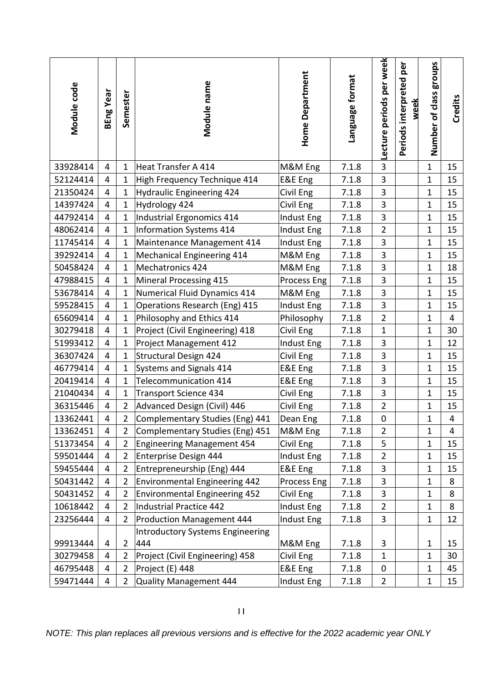| Module code | BEng Year                                                                                                       | Semester       | Module name                                    | <b>Home Department</b> | Language format | Lecture periods per week | Periods interpreted per<br>week | Number of class groups | Credits        |  |  |
|-------------|-----------------------------------------------------------------------------------------------------------------|----------------|------------------------------------------------|------------------------|-----------------|--------------------------|---------------------------------|------------------------|----------------|--|--|
| 33928414    | 4                                                                                                               | $\mathbf{1}$   | <b>Heat Transfer A 414</b>                     | M&M Eng                | 7.1.8           | $\overline{3}$           |                                 | $\mathbf{1}$           | 15             |  |  |
| 52124414    | 4                                                                                                               | $\mathbf{1}$   | High Frequency Technique 414                   | E&E Eng                | 7.1.8           | 3                        |                                 | $\mathbf{1}$           | 15             |  |  |
| 21350424    | 4                                                                                                               | $\mathbf{1}$   | <b>Hydraulic Engineering 424</b>               | Civil Eng              | 7.1.8           | 3                        |                                 | $\mathbf{1}$           | 15             |  |  |
| 14397424    | 4                                                                                                               | $\mathbf{1}$   | Hydrology 424                                  | Civil Eng              | 7.1.8           | 3                        |                                 | $\mathbf{1}$           | 15             |  |  |
| 44792414    | 4                                                                                                               | $\mathbf{1}$   | Industrial Ergonomics 414                      | Indust Eng             | 7.1.8           | $\overline{\mathbf{3}}$  |                                 | $\mathbf{1}$           | 15             |  |  |
| 48062414    | 4                                                                                                               | $\mathbf{1}$   | Information Systems 414                        | <b>Indust Eng</b>      | 7.1.8           | $\overline{2}$           |                                 | $\mathbf{1}$           | 15             |  |  |
| 11745414    | 4                                                                                                               | $\mathbf{1}$   | Maintenance Management 414                     | Indust Eng             | 7.1.8           | 3                        |                                 | $\mathbf{1}$           | 15             |  |  |
| 39292414    | 4                                                                                                               | $\mathbf{1}$   | Mechanical Engineering 414                     | M&M Eng                | 7.1.8           | 3                        |                                 | $\mathbf{1}$           | 15             |  |  |
| 50458424    | 4                                                                                                               | $\mathbf{1}$   | Mechatronics 424                               | M&M Eng                | 7.1.8           | $\mathbf{3}$             |                                 | $\mathbf{1}$           | 18             |  |  |
| 47988415    | 4                                                                                                               | $\mathbf{1}$   | <b>Mineral Processing 415</b>                  | Process Eng            | 7.1.8           | 3                        |                                 | $\mathbf 1$            | 15             |  |  |
| 53678414    | 4                                                                                                               | $\mathbf{1}$   | Numerical Fluid Dynamics 414                   | M&M Eng                | 7.1.8           | 3                        |                                 | $\mathbf{1}$           | 15             |  |  |
| 59528415    | 4                                                                                                               | $\mathbf{1}$   | Operations Research (Eng) 415                  | Indust Eng             | 7.1.8           | 3                        |                                 | $\mathbf 1$            | 15             |  |  |
| 65609414    | 4                                                                                                               | $\mathbf{1}$   | Philosophy and Ethics 414                      | Philosophy             | 7.1.8           | $\overline{2}$           |                                 | $\mathbf{1}$           | $\overline{4}$ |  |  |
| 30279418    | 4                                                                                                               | $\mathbf{1}$   | Project (Civil Engineering) 418                | Civil Eng              | 7.1.8           | $\mathbf 1$              |                                 | $\mathbf{1}$           | 30             |  |  |
| 51993412    | 4                                                                                                               | $\mathbf{1}$   | <b>Project Management 412</b>                  | Indust Eng             | 7.1.8           | 3                        |                                 | $\mathbf{1}$           | 12             |  |  |
| 36307424    | 4                                                                                                               | $\mathbf{1}$   | <b>Structural Design 424</b>                   | Civil Eng              | 7.1.8           | $\mathbf{3}$             |                                 | $\mathbf{1}$           | 15             |  |  |
| 46779414    | 4                                                                                                               | $\mathbf{1}$   | Systems and Signals 414                        | E&E Eng                | 7.1.8           | 3                        |                                 | $\mathbf{1}$           | 15             |  |  |
| 20419414    | 4                                                                                                               | $\mathbf{1}$   | Telecommunication 414                          | E&E Eng                | 7.1.8           | 3                        |                                 | $\mathbf{1}$           | 15             |  |  |
| 21040434    | 4                                                                                                               | $\mathbf{1}$   | <b>Transport Science 434</b>                   | Civil Eng              | 7.1.8           | 3                        |                                 | $\mathbf{1}$           | 15             |  |  |
| 36315446    | 4                                                                                                               | $\overline{2}$ | Advanced Design (Civil) 446                    | Civil Eng              | 7.1.8           | $\overline{2}$           |                                 | $\mathbf{1}$           | 15             |  |  |
| 13362441    | 4                                                                                                               | $\overline{2}$ | Complementary Studies (Eng) 441                | Dean Eng               | 7.1.8           | $\pmb{0}$                |                                 | 1                      | $\overline{4}$ |  |  |
| 13362451    | 4                                                                                                               | $\overline{2}$ | Complementary Studies (Eng) 451                | M&M Eng                | 7.1.8           | $\overline{2}$           |                                 | $\mathbf{1}$           | 4              |  |  |
| 51373454    | 4                                                                                                               | $\overline{2}$ | Engineering Management 454                     | Civil Eng              | 7.1.8           | 5                        |                                 | $\mathbf 1$            | 15             |  |  |
| 59501444    | 4                                                                                                               | $\overline{2}$ | Enterprise Design 444                          | Indust Eng             | 7.1.8           | $\overline{2}$           |                                 | 1                      | 15             |  |  |
| 59455444    | $\overline{4}$                                                                                                  | $\overline{2}$ | Entrepreneurship (Eng) 444                     | E&E Eng                | 7.1.8           | 3                        |                                 | $\mathbf{1}$           | 15             |  |  |
| 50431442    | 4                                                                                                               | $\overline{2}$ | <b>Environmental Engineering 442</b>           | Process Eng            | 7.1.8           | 3                        |                                 | $\mathbf 1$            | 8              |  |  |
| 50431452    | 4                                                                                                               | $\overline{2}$ | <b>Environmental Engineering 452</b>           | Civil Eng              | 7.1.8           | $\mathbf{3}$             |                                 | $\mathbf{1}$           | 8              |  |  |
| 10618442    | 4                                                                                                               | $\overline{2}$ | Industrial Practice 442                        | Indust Eng             | 7.1.8           | $\overline{2}$           |                                 | $\mathbf{1}$           | 8              |  |  |
| 23256444    | 4                                                                                                               | $\overline{2}$ | <b>Production Management 444</b>               | Indust Eng             | 7.1.8           | 3                        |                                 | $\mathbf{1}$           | 12             |  |  |
| 99913444    | 4                                                                                                               | $\overline{2}$ | <b>Introductory Systems Engineering</b><br>444 | M&M Eng                | 7.1.8           | $\mathbf{3}$             |                                 | $\mathbf{1}$           | 15             |  |  |
| 30279458    | 4                                                                                                               | $\overline{2}$ | Project (Civil Engineering) 458                | Civil Eng              | 7.1.8           | $\mathbf{1}$             |                                 | $\mathbf{1}$           | 30             |  |  |
| 46795448    | 4                                                                                                               | $\overline{2}$ | Project (E) 448                                | E&E Eng                | 7.1.8           | 0                        |                                 | $\mathbf 1$            | 45             |  |  |
| 59471444    | 4                                                                                                               | $\overline{2}$ | Quality Management 444                         | Indust Eng             | 7.1.8           | $\overline{2}$           |                                 | $\mathbf{1}$           | 15             |  |  |
|             | $\mathbf{H}$<br>NOTE: This plan replaces all previous versions and is effective for the 2022 academic year ONLY |                |                                                |                        |                 |                          |                                 |                        |                |  |  |